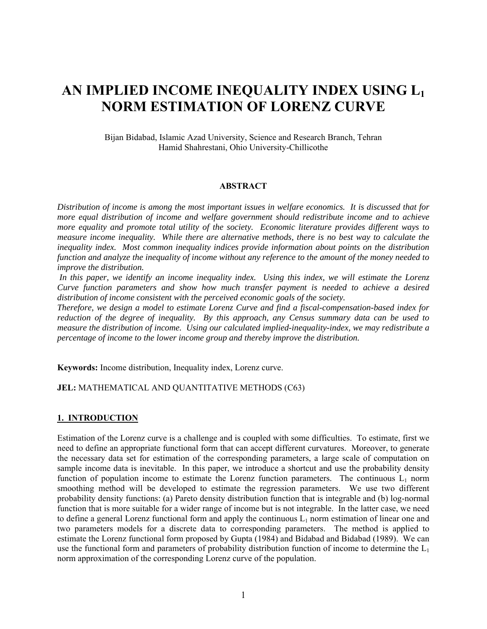# **AN IMPLIED INCOME INEQUALITY INDEX USING L1 NORM ESTIMATION OF LORENZ CURVE**

Bijan Bidabad, Islamic Azad University, Science and Research Branch, Tehran Hamid Shahrestani, Ohio University-Chillicothe

#### **ABSTRACT**

*Distribution of income is among the most important issues in welfare economics. It is discussed that for more equal distribution of income and welfare government should redistribute income and to achieve more equality and promote total utility of the society. Economic literature provides different ways to measure income inequality. While there are alternative methods, there is no best way to calculate the inequality index. Most common inequality indices provide information about points on the distribution function and analyze the inequality of income without any reference to the amount of the money needed to improve the distribution.* 

 *In this paper, we identify an income inequality index. Using this index, we will estimate the Lorenz Curve function parameters and show how much transfer payment is needed to achieve a desired distribution of income consistent with the perceived economic goals of the society.* 

*Therefore, we design a model to estimate Lorenz Curve and find a fiscal-compensation-based index for reduction of the degree of inequality. By this approach, any Census summary data can be used to measure the distribution of income. Using our calculated implied-inequality-index, we may redistribute a percentage of income to the lower income group and thereby improve the distribution.* 

**Keywords:** Income distribution, Inequality index, Lorenz curve.

#### **JEL:** MATHEMATICAL AND QUANTITATIVE METHODS (C63)

#### **1. INTRODUCTION**

Estimation of the Lorenz curve is a challenge and is coupled with some difficulties. To estimate, first we need to define an appropriate functional form that can accept different curvatures. Moreover, to generate the necessary data set for estimation of the corresponding parameters, a large scale of computation on sample income data is inevitable. In this paper, we introduce a shortcut and use the probability density function of population income to estimate the Lorenz function parameters. The continuous  $L_1$  norm smoothing method will be developed to estimate the regression parameters. We use two different probability density functions: (a) Pareto density distribution function that is integrable and (b) log-normal function that is more suitable for a wider range of income but is not integrable. In the latter case, we need to define a general Lorenz functional form and apply the continuous  $L_1$  norm estimation of linear one and two parameters models for a discrete data to corresponding parameters. The method is applied to estimate the Lorenz functional form proposed by Gupta (1984) and Bidabad and Bidabad (1989). We can use the functional form and parameters of probability distribution function of income to determine the  $L_1$ norm approximation of the corresponding Lorenz curve of the population.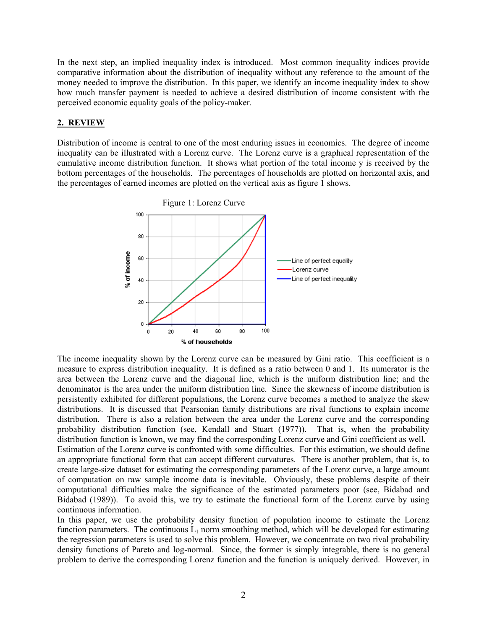In the next step, an implied inequality index is introduced. Most common inequality indices provide comparative information about the distribution of inequality without any reference to the amount of the money needed to improve the distribution. In this paper, we identify an income inequality index to show how much transfer payment is needed to achieve a desired distribution of income consistent with the perceived economic equality goals of the policy-maker.

## **2. REVIEW**

Distribution of income is central to one of the most enduring issues in economics. The degree of income inequality can be illustrated with a Lorenz curve. The Lorenz curve is a graphical representation of the cumulative income distribution function. It shows what portion of the total income y is received by the bottom percentages of the households. The percentages of households are plotted on horizontal axis, and the percentages of earned incomes are plotted on the vertical axis as figure 1 shows.



The income inequality shown by the Lorenz curve can be measured by Gini ratio. This coefficient is a measure to express distribution inequality. It is defined as a ratio between 0 and 1. Its numerator is the area between the Lorenz curve and the diagonal line, which is the uniform distribution line; and the denominator is the area under the uniform distribution line. Since the skewness of income distribution is persistently exhibited for different populations, the Lorenz curve becomes a method to analyze the skew distributions. It is discussed that Pearsonian family distributions are rival functions to explain income distribution. There is also a relation between the area under the Lorenz curve and the corresponding probability distribution function (see, Kendall and Stuart (1977)). That is, when the probability distribution function is known, we may find the corresponding Lorenz curve and Gini coefficient as well. Estimation of the Lorenz curve is confronted with some difficulties. For this estimation, we should define an appropriate functional form that can accept different curvatures. There is another problem, that is, to create large-size dataset for estimating the corresponding parameters of the Lorenz curve, a large amount of computation on raw sample income data is inevitable. Obviously, these problems despite of their computational difficulties make the significance of the estimated parameters poor (see, Bidabad and Bidabad (1989)). To avoid this, we try to estimate the functional form of the Lorenz curve by using continuous information.

In this paper, we use the probability density function of population income to estimate the Lorenz function parameters. The continuous  $L_1$  norm smoothing method, which will be developed for estimating the regression parameters is used to solve this problem. However, we concentrate on two rival probability density functions of Pareto and log-normal. Since, the former is simply integrable, there is no general problem to derive the corresponding Lorenz function and the function is uniquely derived. However, in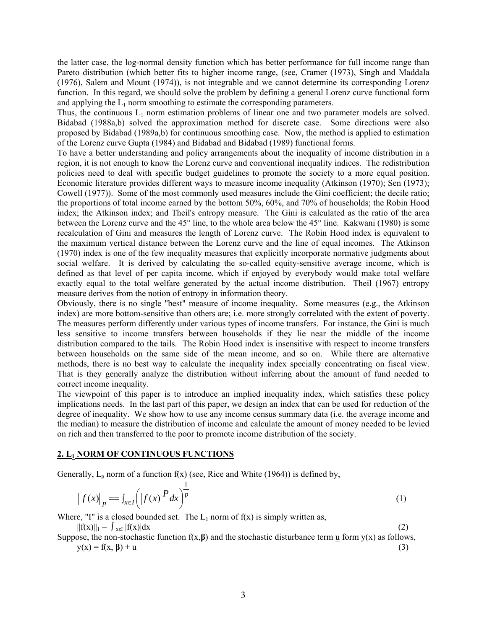the latter case, the log-normal density function which has better performance for full income range than Pareto distribution (which better fits to higher income range, (see, Cramer (1973), Singh and Maddala (1976), Salem and Mount (1974)), is not integrable and we cannot determine its corresponding Lorenz function. In this regard, we should solve the problem by defining a general Lorenz curve functional form and applying the  $L_1$  norm smoothing to estimate the corresponding parameters.

Thus, the continuous  $L_1$  norm estimation problems of linear one and two parameter models are solved. Bidabad (1988a,b) solved the approximation method for discrete case. Some directions were also proposed by Bidabad (1989a,b) for continuous smoothing case. Now, the method is applied to estimation of the Lorenz curve Gupta (1984) and Bidabad and Bidabad (1989) functional forms.

To have a better understanding and policy arrangements about the inequality of income distribution in a region, it is not enough to know the Lorenz curve and conventional inequality indices. The redistribution policies need to deal with specific budget guidelines to promote the society to a more equal position. Economic literature provides different ways to measure income inequality (Atkinson (1970); Sen (1973); Cowell (1977)). Some of the most commonly used measures include the Gini coefficient; the decile ratio; the proportions of total income earned by the bottom 50%, 60%, and 70% of households; the Robin Hood index; the Atkinson index; and Theil's entropy measure. The Gini is calculated as the ratio of the area between the Lorenz curve and the 45° line, to the whole area below the 45° line. Kakwani (1980) is some recalculation of Gini and measures the length of Lorenz curve. The Robin Hood index is equivalent to the maximum vertical distance between the Lorenz curve and the line of equal incomes. The Atkinson (1970) index is one of the few inequality measures that explicitly incorporate normative judgments about social welfare. It is derived by calculating the so-called equity-sensitive average income, which is defined as that level of per capita income, which if enjoyed by everybody would make total welfare exactly equal to the total welfare generated by the actual income distribution. Theil (1967) entropy measure derives from the notion of entropy in information theory.

Obviously, there is no single "best" measure of income inequality. Some measures (e.g., the Atkinson index) are more bottom-sensitive than others are; i.e. more strongly correlated with the extent of poverty. The measures perform differently under various types of income transfers. For instance, the Gini is much less sensitive to income transfers between households if they lie near the middle of the income distribution compared to the tails. The Robin Hood index is insensitive with respect to income transfers between households on the same side of the mean income, and so on. While there are alternative methods, there is no best way to calculate the inequality index specially concentrating on fiscal view. That is they generally analyze the distribution without inferring about the amount of fund needed to correct income inequality.

The viewpoint of this paper is to introduce an implied inequality index, which satisfies these policy implications needs. In the last part of this paper, we design an index that can be used for reduction of the degree of inequality. We show how to use any income census summary data (i.e. the average income and the median) to measure the distribution of income and calculate the amount of money needed to be levied on rich and then transferred to the poor to promote income distribution of the society.

# **2. L1 NORM OF CONTINUOUS FUNCTIONS**

Generally,  $L_p$  norm of a function f(x) (see, Rice and White (1964)) is defined by,

$$
\|f(x)\|_{p} = \int_{x \in I} \left( |f(x)|^{p} dx \right)^{\frac{1}{p}}
$$
 (1)

Where, "I" is a closed bounded set. The  $L_1$  norm of  $f(x)$  is simply written as,

 $||f(x)||_1 = \int_{x \in I} |f(x)| dx$  (2)

Suppose, the non-stochastic function  $f(x, \beta)$  and the stochastic disturbance term  $\underline{u}$  form  $y(x)$  as follows,  $y(x) = f(x, \beta) + u$  (3)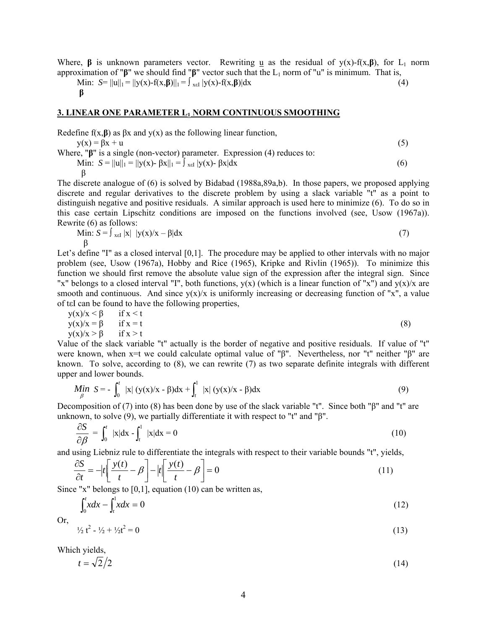Where, **β** is unknown parameters vector. Rewriting u as the residual of  $y(x)$ -f(x, **β**), for L<sub>1</sub> norm approximation of " $\beta$ " we should find " $\beta$ " vector such that the L<sub>1</sub> norm of "u" is minimum. That is,

Min:  $S= ||u||_1 = ||y(x)-f(x,\beta)||_1 = \int_{x \in I} |y(x)-f(x,\beta)| dx$  (4)  **β**

#### **3. LINEAR ONE PARAMETER L1 NORM CONTINUOUS SMOOTHING**

Redefine  $f(x, \beta)$  as  $\beta x$  and  $y(x)$  as the following linear function,

 $y(x) = \beta x + u$  (5)

Where, "**β**" is a single (non-vector) parameter. Expression (4) reduces to: Min:  $S = ||u||_1 = ||y(x) - \beta x||_1 = \int_{x \in I} |y(x) - \beta x| dx$  (6) β

The discrete analogue of (6) is solved by Bidabad (1988a,89a,b). In those papers, we proposed applying discrete and regular derivatives to the discrete problem by using a slack variable "t" as a point to distinguish negative and positive residuals. A similar approach is used here to minimize (6). To do so in this case certain Lipschitz conditions are imposed on the functions involved (see, Usow (1967a)). Rewrite (6) as follows:

Min: 
$$
S = \int_{x \in I} |x| |y(x)/x - \beta| dx
$$
 (7)  
 $\beta$ 

Let's define "I" as a closed interval [0,1]. The procedure may be applied to other intervals with no major problem (see, Usow (1967a), Hobby and Rice (1965), Kripke and Rivlin (1965)). To minimize this function we should first remove the absolute value sign of the expression after the integral sign. Since "x" belongs to a closed interval "I", both functions,  $y(x)$  (which is a linear function of "x") and  $y(x)/x$  are smooth and continuous. And since  $y(x)/x$  is uniformly increasing or decreasing function of "x", a value of tεI can be found to have the following properties,

$$
y(x)/x < \beta \quad \text{if } x < t
$$
  
\n
$$
y(x)/x = \beta \quad \text{if } x = t
$$
  
\n
$$
y(x)/x > \beta \quad \text{if } x > t
$$
\n(8)

Value of the slack variable "t" actually is the border of negative and positive residuals. If value of "t" were known, when x=t we could calculate optimal value of "β". Nevertheless, nor "t" neither "β" are known. To solve, according to (8), we can rewrite (7) as two separate definite integrals with different upper and lower bounds.

$$
\underset{\beta}{\text{Min}} \ \ S = -\int_0^t \ |x| \ (y(x)/x - \beta) dx + \int_t^1 \ |x| \ (y(x)/x - \beta) dx \tag{9}
$$

Decomposition of (7) into (8) has been done by use of the slack variable "t". Since both "β" and "t" are unknown, to solve (9), we partially differentiate it with respect to "t" and "β".

$$
\frac{\partial S}{\partial \beta} = \int_0^t |x| dx - \int_t^1 |x| dx = 0 \tag{10}
$$

and using Liebniz rule to differentiate the integrals with respect to their variable bounds "t", yields,

$$
\frac{\partial S}{\partial t} = -|t| \left[ \frac{y(t)}{t} - \beta \right] - |t| \left[ \frac{y(t)}{t} - \beta \right] = 0 \tag{11}
$$

Since "x" belongs to  $[0,1]$ , equation  $(10)$  can be written as,

$$
\int_0^t x dx - \int_t^1 x dx = 0 \tag{12}
$$

Or,

$$
\frac{1}{2}t^2 - \frac{1}{2} + \frac{1}{2}t^2 = 0\tag{13}
$$

Which yields,

$$
t = \sqrt{2}/2\tag{14}
$$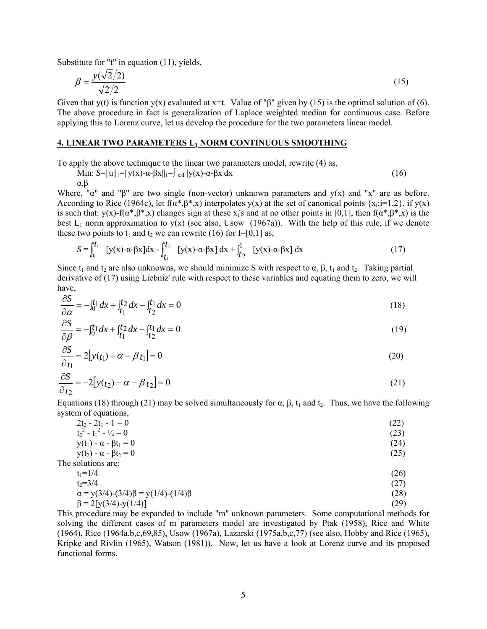Substitute for "t" in equation (11), yields,

$$
\beta = \frac{y(\sqrt{2}/2)}{\sqrt{2}/2} \tag{15}
$$

Given that y(t) is function y(x) evaluated at x=t. Value of " $\beta$ " given by (15) is the optimal solution of (6). The above procedure in fact is generalization of Laplace weighted median for continuous case. Before applying this to Lorenz curve, let us develop the procedure for the two parameters linear model.

#### **4. LINEAR TWO PARAMETERS L1 NORM CONTINUOUS SMOOTHING**

To apply the above technique to the linear two parameters model, rewrite (4) as,

Min: 
$$
S=||u||_1=||y(x)-\alpha-\beta x||_1=|_{x\in I}|y(x)-\alpha-\beta x|dx
$$
 (16)

α,β

The

Where, "α" and "β" are two single (non-vector) unknown parameters and y(x) and "x" are as before. According to Rice (1964c), let  $f(\alpha^*, \beta^*, x)$  interpolates  $y(x)$  at the set of canonical points  $\{x_i, i=1,2\}$ , if  $y(x)$ is such that:  $y(x)$ -f( $\alpha^*, \beta^*, x$ ) changes sign at these x<sub>i</sub>'s and at no other points in [0,1], then  $f(\alpha^*, \beta^*, x)$  is the best  $L_1$  norm approximation to y(x) (see also, Usow (1967a)). With the help of this rule, if we denote these two points to  $t_1$  and  $t_2$  we can rewrite (16) for I=[0,1] as,

$$
S = \int_0^{t_1} [y(x) - \alpha - \beta x] dx - \int_{t_1}^{t_2} [y(x) - \alpha - \beta x] dx + \int_{t_2}^1 [y(x) - \alpha - \beta x] dx
$$
 (17)

Since t<sub>1</sub> and t<sub>2</sub> are also unknowns, we should minimize S with respect to  $\alpha$ ,  $\beta$ ,  $t_1$  and t<sub>2</sub>. Taking partial derivative of (17) using Liebniz' rule with respect to these variables and equating them to zero, we will have,

$$
\frac{\partial S}{\partial \alpha} = -\int_{0}^{t_1} dx + \int_{t_1}^{t_2} dx - \int_{t_2}^{t_1} dx = 0
$$
\n(18)

$$
\frac{\partial S}{\partial \beta} = -\int_0^t 1 dx + \int_{t_1}^t 2 dx - \int_{t_2}^t 1 dx = 0
$$
\n(19)

$$
\frac{\partial S}{\partial t_1} = 2[y(t_1) - \alpha - \beta t_1] = 0
$$
\n(20)

$$
\frac{\partial S}{\partial t_2} = -2[y(t_2) - \alpha - \beta t_2] = 0
$$
\n(21)

Equations (18) through (21) may be solved simultaneously for  $\alpha$ ,  $\beta$ ,  $t_1$  and  $t_2$ . Thus, we have the following system of equations,

| $2t_2 - 2t_1 - 1 = 0$                            | (22) |
|--------------------------------------------------|------|
| $t_2^2 - t_1^2 - \frac{1}{2} = 0$                | (23) |
| $y(t_1) - \alpha - \beta t_1 = 0$                | (24) |
| $y(t_2) - \alpha - \beta t_2 = 0$                | (25) |
| The solutions are:                               |      |
| $t_1 = 1/4$                                      | (26) |
| $t_2 = 3/4$                                      | (27) |
| $\alpha = y(3/4)-(3/4)\beta = y(1/4)-(1/4)\beta$ | (28) |

$$
\beta = 2[y(3/4)-y(1/4)] \tag{29}
$$

This procedure may be expanded to include "m" unknown parameters. Some computational methods for solving the different cases of m parameters model are investigated by Ptak (1958), Rice and White (1964), Rice (1964a,b,c,69,85), Usow (1967a), Lazarski (1975a,b,c,77) (see also, Hobby and Rice (1965), Kripke and Rivlin (1965), Watson (1981)). Now, let us have a look at Lorenz curve and its proposed functional forms.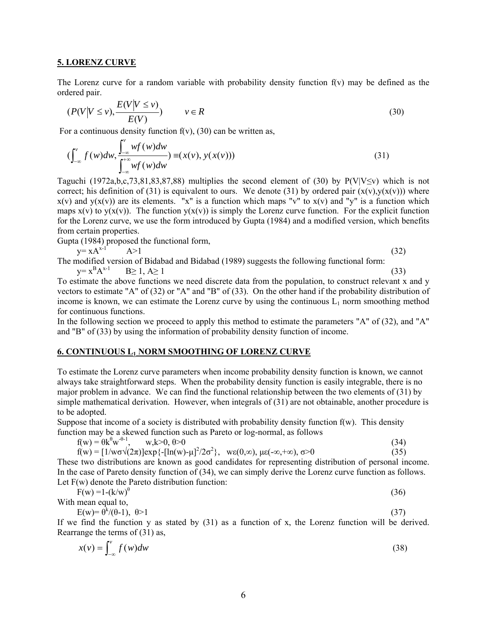#### **5. LORENZ CURVE**

The Lorenz curve for a random variable with probability density function f(v) may be defined as the ordered pair.

$$
(P(V|V \le v), \frac{E(V|V \le v)}{E(V)}) \qquad v \in R
$$
\n(30)

For a continuous density function  $f(v)$ , (30) can be written as,

$$
\left(\int_{-\infty}^{v} f(w)dw, \frac{\int_{-\infty}^{v} wf(w)dw}{\int_{-\infty}^{+\infty} wf(w)dw}\right) \equiv \left(x(v), y(x(v))\right)
$$
\n(31)

Taguchi (1972a,b,c,73,81,83,87,88) multiplies the second element of (30) by  $P(V|V\leq v)$  which is not correct; his definition of (31) is equivalent to ours. We denote (31) by ordered pair  $(x(y),y(x(y)))$  where  $x(v)$  and  $y(x(v))$  are its elements. "x" is a function which maps "v" to  $x(v)$  and "y" is a function which maps  $x(y)$  to  $y(x(y))$ . The function  $y(x(y))$  is simply the Lorenz curve function. For the explicit function for the Lorenz curve, we use the form introduced by Gupta (1984) and a modified version, which benefits from certain properties.

Gupta (1984) proposed the functional form,

 $y = xA^{x-1}$   $A>1$  (32)

The modified version of Bidabad and Bidabad (1989) suggests the following functional form:  $y=x^B$  $B \geq 1, A \geq 1$  (33)

To estimate the above functions we need discrete data from the population, to construct relevant x and y vectors to estimate "A" of (32) or "A" and "B" of (33). On the other hand if the probability distribution of income is known, we can estimate the Lorenz curve by using the continuous  $L_1$  norm smoothing method for continuous functions.

In the following section we proceed to apply this method to estimate the parameters "A" of (32), and "A" and "B" of (33) by using the information of probability density function of income.

# **6. CONTINUOUS L1 NORM SMOOTHING OF LORENZ CURVE**

To estimate the Lorenz curve parameters when income probability density function is known, we cannot always take straightforward steps. When the probability density function is easily integrable, there is no major problem in advance. We can find the functional relationship between the two elements of (31) by simple mathematical derivation. However, when integrals of (31) are not obtainable, another procedure is to be adopted.

Suppose that income of a society is distributed with probability density function f(w). This density function may be a skewed function such as Pareto or log-normal, as follows

$$
f(w) = \theta k^{\theta} w^{-\theta - 1}, \qquad w, k > 0, \theta > 0
$$
\n
$$
(34)
$$

$$
f(w) = \left[1/w\sigma\sqrt{(2\pi)}\right] \exp\left\{-\left[\ln(w) - \mu\right]^2/2\sigma^2\right\}, \quad w\epsilon(0,\infty), \mu\epsilon(-\infty,+\infty), \sigma > 0\tag{35}
$$

These two distributions are known as good candidates for representing distribution of personal income. In the case of Pareto density function of (34), we can simply derive the Lorenz curve function as follows. Let F(w) denote the Pareto distribution function:

$$
F(w) = 1 - (k/w)^{\theta}
$$
 (36)

With mean equal to,  $E(\lambda)$   $\alpha k/(0.1)$ 

$$
E(w) = \theta^k / (\theta - 1), \quad \theta > 1
$$
  
If we find the function y as stated by (31) as a function of x, the Lorenz function will be derived. (37)

Rearrange the terms of (31) as,  

$$
x(y) = \int_{0}^{y} f(y) dy
$$
 (38)

$$
x(v) = \int_{-\infty}^{v} f(w)dw
$$
 (38)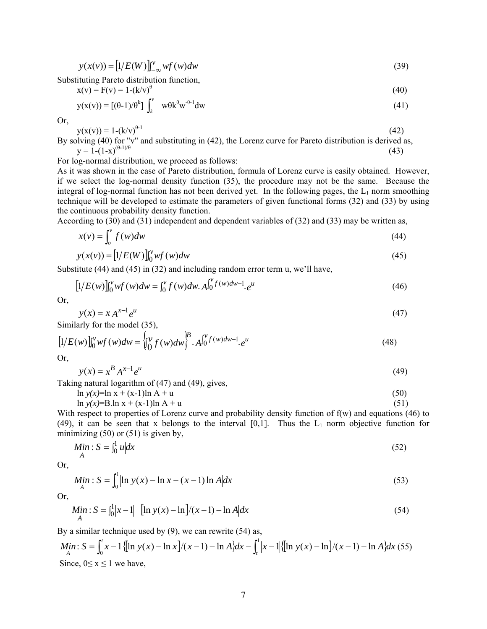$$
y(x(v)) = [1/E(W)]_{-\infty}^{v} wf(w)dw
$$
\n(39)

Substituting Pareto distribution function,

$$
x(v) = F(v) = 1 - (k/v)^{\theta} \tag{40}
$$

$$
y(x(v)) = [(\theta - 1)/\theta^k] \int_k^v w\theta k^{\theta} w^{-\theta - 1} dw
$$
 (41)

Or,

$$
y(x(v)) = 1 - (k/v)^{\theta-1}
$$
 (42)

By solving (40) for "v" and substituting in (42), the Lorenz curve for Pareto distribution is derived as,  $y = 1-(1-x)^{(\theta-1)/\theta}$  (43)

For log-normal distribution, we proceed as follows:

As it was shown in the case of Pareto distribution, formula of Lorenz curve is easily obtained. However, if we select the log-normal density function (35), the procedure may not be the same. Because the integral of log-normal function has not been derived yet. In the following pages, the  $L_1$  norm smoothing technique will be developed to estimate the parameters of given functional forms (32) and (33) by using the continuous probability density function.

According to (30) and (31) independent and dependent variables of (32) and (33) may be written as,

$$
x(v) = \int_{o}^{v} f(w)dw
$$
 (44)

$$
y(x(v)) = [1/E(W)]_0^v wf(w)dw
$$
\n(45)

Substitute (44) and (45) in (32) and including random error term u, we'll have,

$$
[1/E(w)]_{0}^{v}wf(w)dw = \int_{0}^{v} f(w)dw \cdot A_{0}^{\int_{0}^{v} f(w)dw - 1}e^{u}
$$
\n(46)

Or,

$$
y(x) = x A^{x-1} e^u
$$
  
Similarly for the model (35), (47)

$$
[1/E(w)]_{0}^{v}wf(w)dw = \begin{cases} v \\ 0 \end{cases} f(w)dw \bigg\}^{B} \cdot A_{0}^{v}f(w)dw^{-1}e^{u} \tag{48}
$$

Or,

$$
y(x) = x^B A^{x-1} e^u \tag{49}
$$

Taking natural logarithm of (47) and (49), gives,

$$
\ln y(x) = \ln x + (x-1)\ln A + u \tag{50}
$$

$$
\ln y(x) = B \cdot \ln x + (x-1) \ln A + u \tag{51}
$$

With respect to properties of Lorenz curve and probability density function of  $f(w)$  and equations (46) to (49), it can be seen that x belongs to the interval  $[0,1]$ . Thus the  $L_1$  norm objective function for minimizing  $(50)$  or  $(51)$  is given by,

$$
\underset{A}{Min} : S = \int_0^1 |u| dx \tag{52}
$$

Or,

$$
Min: S = \int_{A}^{1} |\ln y(x) - \ln x - (x - 1) \ln A| dx
$$
\n(53)

Or,

$$
\underset{A}{Min : S} = \int_{0}^{1} |x - 1| \left[ \left[ \ln y(x) - \ln \right] / (x - 1) - \ln A \right] dx \tag{54}
$$

By a similar technique used by (9), we can rewrite (54) as,

Min: 
$$
S = \int_0^t |x-1| \{ [\ln y(x) - \ln x] / (x-1) - \ln A \} dx - \int_t^1 |x-1| \{ [\ln y(x) - \ln x] / (x-1) - \ln x \} dx
$$
 (55)  
Since,  $0 \le x \le 1$  we have,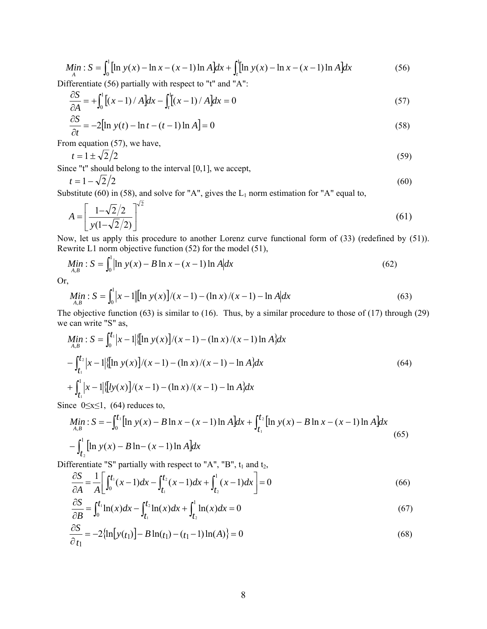$$
Min: S = \int_0^1 \left[ \ln y(x) - \ln x - (x - 1) \ln A \right] dx + \int_t^1 \left[ \ln y(x) - \ln x - (x - 1) \ln A \right] dx \tag{56}
$$

Differentiate (56) partially with respect to "t" and "A":

$$
\frac{\partial S}{\partial A} = + \int_0^1 \left[ (x - 1) / A \right] dx - \int_t^1 \left[ (x - 1) / A \right] dx = 0 \tag{57}
$$

$$
\frac{\partial S}{\partial t} = -2\left[\ln y(t) - \ln t - (t - 1)\ln A\right] = 0\tag{58}
$$

From equation (57), we have,

$$
t = 1 \pm \sqrt{2}/2\tag{59}
$$

Since "t" should belong to the interval [0,1], we accept,

$$
t = 1 - \sqrt{2}/2
$$
 (60)

Substitute (60) in (58), and solve for "A", gives the  $L_1$  norm estimation for "A" equal to,

$$
A = \left[\frac{1 - \sqrt{2}/2}{y(1 - \sqrt{2}/2)}\right]^{2}
$$
(61)

Now, let us apply this procedure to another Lorenz curve functional form of (33) (redefined by (51)). Rewrite L1 norm objective function (52) for the model (51),

$$
\underset{A,B}{Min} : S = \int_0^1 \left| \ln y(x) - B \ln x - (x - 1) \ln A \right| dx \tag{62}
$$

Or,

$$
\mathop{\mathit{Min}}_{A,B} : S = \int_0^1 |x-1| \big[ \ln y(x) \big] / (x-1) - (\ln x) / (x-1) - \ln A \big| dx \tag{63}
$$

The objective function (63) is similar to (16). Thus, by a similar procedure to those of (17) through (29) we can write "S" as,

$$
\begin{aligned}\n\mathbf{M} &\text{in}: S = \int_0^{t_1} |x - 1| \{ \left[ \ln y(x) \right] / (x - 1) - (\ln x) / (x - 1) \ln A \} dx \\
& \quad - \int_{t_1}^{t_2} |x - 1| \{ \left[ \ln y(x) \right] / (x - 1) - (\ln x) / (x - 1) - \ln A \} dx \\
& \quad + \int_{t_1}^1 |x - 1| \{ \left[ \frac{1}{y(x)} \right] / (x - 1) - (\ln x) / (x - 1) - \ln A \} dx\n\end{aligned}\n\tag{64}
$$

Since  $0 \le x \le 1$ , (64) reduces to,

$$
\begin{aligned} \n\mathbf{Min} \, &: S = -\int_0^{t_1} \left[ \ln y(x) - B \ln x - (x - 1) \ln A \right] \, dx + \int_{t_1}^{t_2} \left[ \ln y(x) - B \ln x - (x - 1) \ln A \right] \, dx \\ \n& -\int_{t_2}^{1} \left[ \ln y(x) - B \ln (x - 1) \ln A \right] \, dx \n\end{aligned} \tag{65}
$$

Differentiate "S" partially with respect to "A", "B",  $t_1$  and  $t_2$ ,

$$
\frac{\partial S}{\partial A} = \frac{1}{A} \bigg[ \int_0^{t_1} (x - 1) dx - \int_{t_1}^{t_2} (x - 1) dx + \int_{t_2}^1 (x - 1) dx \bigg] = 0 \tag{66}
$$

$$
\frac{\partial S}{\partial B} = \int_0^{t_1} \ln(x) dx - \int_{t_1}^{t_2} \ln(x) dx + \int_{t_2}^{1} \ln(x) dx = 0
$$
\n(67)

$$
\frac{\partial S}{\partial t_1} = -2\{\ln[y(t_1)] - B\ln(t_1) - (t_1 - 1)\ln(A)\} = 0
$$
\n(68)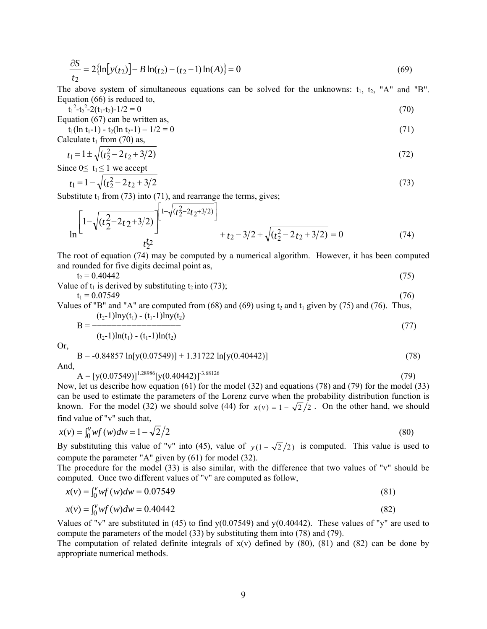$$
\frac{\partial S}{t_2} = 2\{\ln[y(t_2)] - B\ln(t_2) - (t_2 - 1)\ln(A)\} = 0\tag{69}
$$

The above system of simultaneous equations can be solved for the unknowns:  $t_1$ ,  $t_2$ , "A" and "B". Equation (66) is reduced to,

 $t_1^2 - t_2^2 - 2(t_1 - t_2) - 1/2 = 0$  (70) Equation  $(67)$  can be written as

$$
t_1(\ln t_1 - 1) - t_2(\ln t_2 - 1) - 1/2 = 0 \tag{71}
$$

Calculate  $t_1$  from (70) as,

$$
t_1 = 1 \pm \sqrt{(t_2^2 - 2t_2 + 3/2)}
$$
  
Since 0 $\leq t_1 \leq 1$  we accept

$$
t_1 = 1 - \sqrt{(t_2^2 - 2t_2 + 3/2)}
$$
\n(73)

Substitute  $t_1$  from (73) into (71), and rearrange the terms, gives;

$$
\ln \left[1 - \sqrt{(t_2^2 - 2t_2 + 3/2)}\right]^{1 - \sqrt{(t_2^2 - 2t_2 + 3/2)}} + t_2 - 3/2 + \sqrt{(t_2^2 - 2t_2 + 3/2)} = 0\tag{74}
$$

The root of equation (74) may be computed by a numerical algorithm. However, it has been computed and rounded for five digits decimal point as,

 $t_2 = 0.40442$  (75)

Value of 
$$
t_1
$$
 is derived by substituting  $t_2$  into (73);  
\n $t_1 = 0.07549$  (76)

Values of "B" and "A" are computed from  $(68)$  and  $(69)$  using  $t_2$  and  $t_1$  given by (75) and (76). Thus,  $B = \frac{(t_2-1)lny(t_1) - (t_1-1)lny(t_2)}{}$ 

$$
B = \frac{-(t_2 - 1) \ln(t_1) - (t_1 - 1) \ln(t_2)}{(t_2 - 1) \ln(t_1) - (t_1 - 1) \ln(t_2)}
$$
(77)

Or,

$$
B = -0.84857 \ln[y(0.07549)] + 1.31722 \ln[y(0.40442)]
$$
  
And,  

$$
A = [y(0.07549)]^{1.28986} [y(0.40442)]^{-3.68126}
$$
 (79)

Now, let us describe how equation (61) for the model (32) and equations (78) and (79) for the model (33) can be used to estimate the parameters of the Lorenz curve when the probability distribution function is known. For the model (32) we should solve (44) for  $x(v) = 1 - \sqrt{2}/2$ . On the other hand, we should find value of "v" such that,

$$
x(v) = \int_0^v wf(w)dw = 1 - \sqrt{2}/2
$$
\n(80)

By substituting this value of "v" into (45), value of  $y(1 - \sqrt{2}/2)$  is computed. This value is used to compute the parameter "A" given by (61) for model (32).

The procedure for the model (33) is also similar, with the difference that two values of "v" should be computed. Once two different values of "v" are computed as follow,

$$
x(v) = \int_0^v wf(w)dw = 0.07549
$$
\n(81)

$$
x(v) = \int_0^v wf(w)dw = 0.40442
$$
\n(82)

Values of "v" are substituted in (45) to find  $y(0.07549)$  and  $y(0.40442)$ . These values of "y" are used to compute the parameters of the model (33) by substituting them into (78) and (79).

The computation of related definite integrals of  $x(v)$  defined by (80), (81) and (82) can be done by appropriate numerical methods.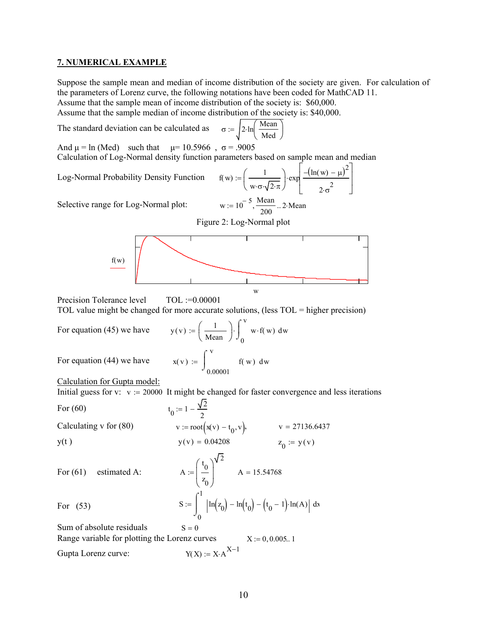#### **7. NUMERICAL EXAMPLE**

Suppose the sample mean and median of income distribution of the society are given. For calculation of the parameters of Lorenz curve, the following notations have been coded for MathCAD 11. Assume that the sample mean of income distribution of the society is: \$60,000.

Assume that the sample median of income distribution of the society is: \$40,000.

The standard deviation can be calculated as  $\sigma$ 

$$
:= \sqrt{2 \cdot \ln \left( \frac{Mean}{Med} \right)}
$$

And  $\mu$  = ln (Med) such that  $\mu$  = 10.5966,  $\sigma$  = .9005

Calculation of Log-Normal density function parameters based on sample mean and median

Log-Normal Probability Density Function

$$
f(w) := \left(\frac{1}{w \cdot \sigma \cdot \sqrt{2 \cdot \pi}}\right) \cdot \exp\left[\frac{-\left(\ln(w) - \mu\right)^2}{2 \cdot \sigma^2}\right]
$$
  
w := 10<sup>-5</sup>,  $\frac{\text{Mean}}{\text{mean}} \dots 2 \cdot \text{Mean}$ 

Selective range for Log-Normal plot:

200 Figure 2: Log-Normal plot



Precision Tolerance level TOL := 0.00001 TOL value might be changed for more accurate solutions, (less TOL = higher precision)

For equation  $(45)$  we have

$$
y(v) := \left(\frac{1}{\text{Mean}}\right) \cdot \int_0^v w \cdot f(w) dw
$$

$$
x(v) := \int_0^v f(w) dw
$$

For equation  $(44)$  we have

$$
) := \int_{0.00001}^{V} f(w) \, dv
$$

Calculation for Gupta model:

Initial guess for v:  $v := 20000$  It might be changed for faster convergence and less iterations

 $\sqrt{2}$ 

For  $(60)$ 

For  $(53)$ 

For (60)  
\n
$$
t_0 := 1 - \frac{v^2}{2}
$$
  
\nCalculating v for (80)  
\n $v := root(x(v) - t_0, v)$ ,  $v = 27136.6437$   
\n $y(t)$   
\n $v(v) = 0.04208$   
\n $v = 27136.6437$   
\n $z_0 := y(v)$ 

For  $(61)$  estimated A:

$$
A := \left(\frac{t_0}{z_0}\right)^{\sqrt{2}}
$$
  
\n
$$
A = 15.54768
$$
  
\n
$$
S := \int_0^1 \left| \ln(z_0) - \ln(t_0) - (t_0 - 1) \cdot \ln(A) \right| dx
$$

Sum of absolute residuals  $S = 0$ Range variable for plotting the Lorenz curves  $X := 0.0005$ . 1 Gupta Lorenz curve:  $Y(X) := X \cdot A^{X-1}$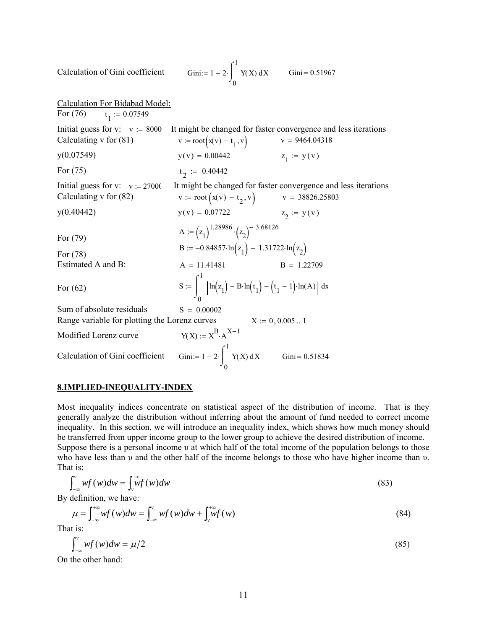Calculation of Gini coefficient 0  $Y(X) dX$  $\int$  $:= 1 - 2 \cdot \int_{\Omega} Y(X) dx$  $Gini = 0.51967$ Calculation For Bidabad Model: For  $(76)$  $t_1 := 0.07549$ Initial guess for v:  $v := 8000$  It might be changed for faster convergence and less iterations<br>Calculating v for (81)  $v := root(xv) - t, v$   $v = 9464.04318$ Calculating v for (81)  $v := root(x(v) - t_1, v)$  $y(0.07549)$   $y(v) = 0.00442$  $z_1 := y(v)$ For  $(75)$  $t_2 := 0.40442$ Initial guess for v:  $v := 2700$  It might be changed for faster convergence and less iterations<br>Calculating v for (82)  $v := root(x(v) - t_2, v)$   $v = 38826.25803$ Calculating v for (82)  $v := root(x(v) - t_2, v)$   $v = 38826.25803$  $y(v) = 0.07722$   $z_2 := y(v)$ For (79)  $A := (z_1)^{1.28986} \cdot (z_2)^{-3.68126}$ For (78) B :=  $-0.84857 \cdot \ln(z_1) + 1.31722 \cdot \ln(z_2)$ Estimated A and B:  $A = 11.41481$   $B = 1.22709$ For  $(62)$ 0 1  $\ln(z_1) - B \cdot \ln(t_1) - (t_1 - 1) \cdot \ln(A) \, dx$  $\int$  $\overline{a}$ J. :=  $\left| \ln(z_1) - \text{B} \cdot \ln(t_1) - (t_1 - 1) \cdot \ln(A) \right|$  d Sum of absolute residuals  $S = 0.00002$ Range variable for plotting the Lorenz curves  $X := 0, 0.005$ . 1 Modified Lorenz curve  $Y(X) := X^{B} \cdot A^{X-1}$ Calculation of Gini coefficient 0 1  $Y(X) dX$  $\int$  $\begin{cases} \n\text{S} = 1 - 2 \cdot \int_{0}^{1} Y(X) \, dX \n\end{cases}$  Gini = 0.51834

1

# **8.IMPLIED-INEQUALITY-INDEX**

Most inequality indices concentrate on statistical aspect of the distribution of income. That is they generally analyze the distribution without inferring about the amount of fund needed to correct income inequality. In this section, we will introduce an inequality index, which shows how much money should be transferred from upper income group to the lower group to achieve the desired distribution of income. Suppose there is a personal income υ at which half of the total income of the population belongs to those who have less than υ and the other half of the income belongs to those who have higher income than υ. That is:

$$
\int_{-\infty}^{v} wf(w)dw = \int_{v}^{+\infty} wf(w)dw
$$
\n(83)

By definition, we have:

$$
\mu = \int_{-\infty}^{+\infty} wf(w)dw = \int_{-\infty}^{v} wf(w)dw + \int_{v}^{+\infty} wf(w)
$$
\n(84)

That is:

$$
\int_{-\infty}^{\nu} wf(w)dw = \mu/2\tag{85}
$$

On the other hand: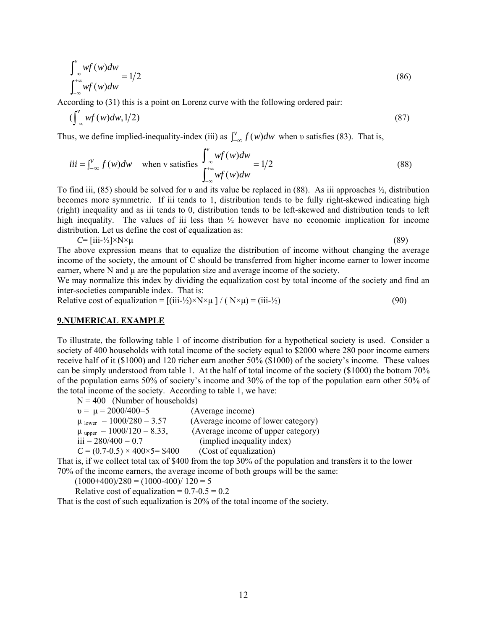$$
\frac{\int_{-\infty}^{v} wf(w)dw}{\int_{-\infty}^{+\infty} wf(w)dw} = 1/2
$$
\n(86)

According to (31) this is a point on Lorenz curve with the following ordered pair:

$$
\left(\int_{-\infty}^{\nu} wf(w)dw, 1/2\right) \tag{87}
$$

Thus, we define implied-inequality-index (iii) as  $\int_{-\infty}^{v} f(w)dw$  when v satisfies (83). That is,

$$
iii = \int_{-\infty}^{v} f(w)dw \quad \text{when } v \text{ satisfies } \frac{\int_{-\infty}^{v} wf(w)dw}{\int_{-\infty}^{+\infty} wf(w)dw} = 1/2
$$
 (88)

To find iii, (85) should be solved for υ and its value be replaced in (88). As iii approaches ½, distribution becomes more symmetric. If iii tends to 1, distribution tends to be fully right-skewed indicating high (right) inequality and as iii tends to 0, distribution tends to be left-skewed and distribution tends to left high inequality. The values of iii less than  $\frac{1}{2}$  however have no economic implication for income distribution. Let us define the cost of equalization as:

 $C = \left[ \text{iii-} \frac{1}{2} \right] \times N \times \mu$  (89)

The above expression means that to equalize the distribution of income without changing the average income of the society, the amount of C should be transferred from higher income earner to lower income earner, where N and μ are the population size and average income of the society.

We may normalize this index by dividing the equalization cost by total income of the society and find an inter-societies comparable index. That is:

Relative cost of equalization =  $[(iii-1/2) \times N \times \mu] / (N \times \mu) = (iii-1/2)$  (90)

## **9.NUMERICAL EXAMPLE**

To illustrate, the following table 1 of income distribution for a hypothetical society is used. Consider a society of 400 households with total income of the society equal to \$2000 where 280 poor income earners receive half of it (\$1000) and 120 richer earn another 50% (\$1000) of the society's income. These values can be simply understood from table 1. At the half of total income of the society (\$1000) the bottom 70% of the population earns 50% of society's income and 30% of the top of the population earn other 50% of the total income of the society. According to table 1, we have:

 $N = 400$  (Number of households)

| $v = \mu = 2000/400=5$                       | (Average income)                                                                                                                   |
|----------------------------------------------|------------------------------------------------------------------------------------------------------------------------------------|
| $\mu$ lower = 1000/280 = 3.57                | (Average income of lower category)                                                                                                 |
| $\mu$ upper = 1000/120 = 8.33,               | (Average income of upper category)                                                                                                 |
| $iii = 280/400 = 0.7$                        | (implied inequality index)                                                                                                         |
| $C = (0.7 - 0.5) \times 400 \times 5 = $400$ | (Cost of equalization)                                                                                                             |
|                                              | $\Omega$ . $\Omega$ . $\Omega$ . The finite state of $\Omega$ and $\Omega$ is the finite state of $\Omega$ . The state of $\Omega$ |

That is, if we collect total tax of \$400 from the top 30% of the population and transfers it to the lower 70% of the income earners, the average income of both groups will be the same:

 $(1000+400)/280 = (1000-400)/120 = 5$ 

Relative cost of equalization =  $0.7 - 0.5 = 0.2$ 

That is the cost of such equalization is 20% of the total income of the society.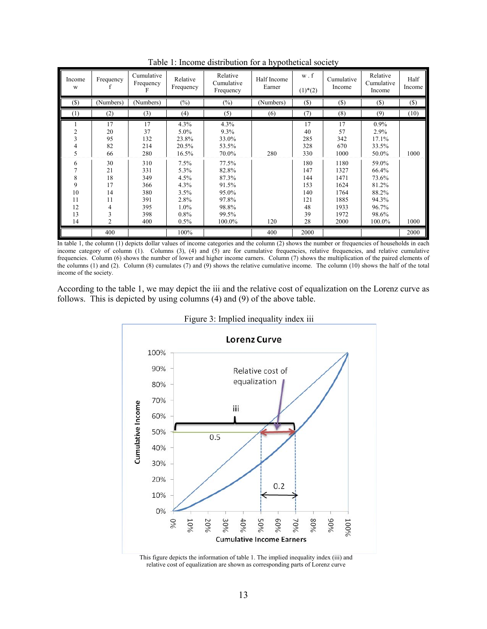| Income<br>W                               | Frequency                                                    | Cumulative<br>Frequency<br>F                                | Relative<br>Frequency                                                | Relative<br>Cumulative<br>Frequency                                            | Half Income<br>Earner | $w$ . $f$<br>$(1)$ <sup>*</sup> $(2)$                    | Cumulative<br>Income                                                 | Relative<br>Cumulative<br>Income                                               | Half<br>Income |
|-------------------------------------------|--------------------------------------------------------------|-------------------------------------------------------------|----------------------------------------------------------------------|--------------------------------------------------------------------------------|-----------------------|----------------------------------------------------------|----------------------------------------------------------------------|--------------------------------------------------------------------------------|----------------|
| (S)                                       | (Numbers)                                                    | (Numbers)                                                   | $(\%)$                                                               | $(\%)$                                                                         | (Numbers)             | $($)$                                                    | $(\$)$                                                               | $(\$)$                                                                         | $(\$)$         |
| (1)                                       | (2)                                                          | (3)                                                         | (4)                                                                  | (5)                                                                            | (6)                   | (7)                                                      | (8)                                                                  | (9)                                                                            | (10)           |
| 2<br>3<br>4<br>5                          | 17<br>20<br>95<br>82<br>66                                   | 17<br>37<br>132<br>214<br>280                               | 4.3%<br>5.0%<br>23.8%<br>20.5%<br>16.5%                              | 4.3%<br>$9.3\%$<br>33.0%<br>53.5%<br>70.0%                                     | 280                   | 17<br>40<br>285<br>328<br>330                            | 17<br>57<br>342<br>670<br>1000                                       | $0.9\%$<br>2.9%<br>17.1%<br>33.5%<br>50.0%                                     | 1000           |
| 6<br>8<br>9<br>10<br>11<br>12<br>13<br>14 | 30<br>21<br>18<br>17<br>14<br>11<br>4<br>3<br>$\overline{2}$ | 310<br>331<br>349<br>366<br>380<br>391<br>395<br>398<br>400 | 7.5%<br>5.3%<br>4.5%<br>4.3%<br>3.5%<br>2.8%<br>1.0%<br>0.8%<br>0.5% | 77.5%<br>82.8%<br>87.3%<br>91.5%<br>95.0%<br>97.8%<br>98.8%<br>99.5%<br>100.0% | 120                   | 180<br>147<br>144<br>153<br>140<br>121<br>48<br>39<br>28 | 1180<br>1327<br>1471<br>1624<br>1764<br>1885<br>1933<br>1972<br>2000 | 59.0%<br>66.4%<br>73.6%<br>81.2%<br>88.2%<br>94.3%<br>96.7%<br>98.6%<br>100.0% | 1000           |
|                                           | 400                                                          |                                                             | 100%                                                                 |                                                                                | 400                   | 2000                                                     |                                                                      |                                                                                | 2000           |

Table 1: Income distribution for a hypothetical society

In table 1, the column (1) depicts dollar values of income categories and the column (2) shows the number or frequencies of households in each income category of column (1). Columns (3), (4) and (5) are for cumulative frequencies, relative frequencies, and relative cumulative frequencies. Column (6) shows the number of lower and higher income earners. Column (7) shows the multiplication of the paired elements of the columns (1) and (2). Column (8) cumulates (7) and (9) shows the relative cumulative income. The column (10) shows the half of the total income of the society.

According to the table 1, we may depict the iii and the relative cost of equalization on the Lorenz curve as follows. This is depicted by using columns (4) and (9) of the above table.





This figure depicts the information of table 1. The implied inequality index (iii) and relative cost of equalization are shown as corresponding parts of Lorenz curve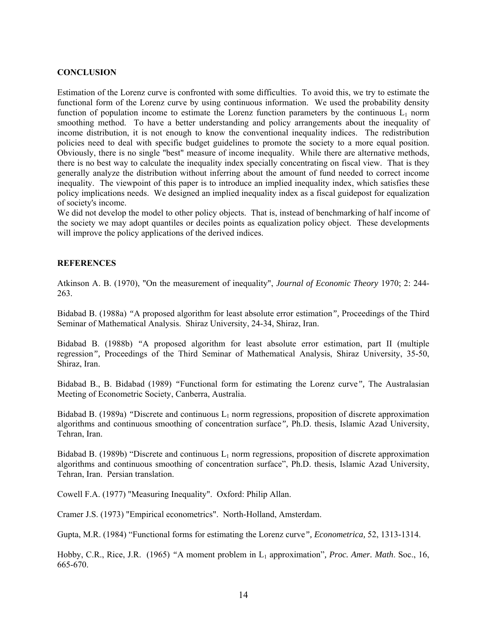# **CONCLUSION**

Estimation of the Lorenz curve is confronted with some difficulties. To avoid this, we try to estimate the functional form of the Lorenz curve by using continuous information. We used the probability density function of population income to estimate the Lorenz function parameters by the continuous  $L_1$  norm smoothing method. To have a better understanding and policy arrangements about the inequality of income distribution, it is not enough to know the conventional inequality indices. The redistribution policies need to deal with specific budget guidelines to promote the society to a more equal position. Obviously, there is no single "best" measure of income inequality. While there are alternative methods, there is no best way to calculate the inequality index specially concentrating on fiscal view. That is they generally analyze the distribution without inferring about the amount of fund needed to correct income inequality. The viewpoint of this paper is to introduce an implied inequality index, which satisfies these policy implications needs. We designed an implied inequality index as a fiscal guidepost for equalization of society's income.

We did not develop the model to other policy objects. That is, instead of benchmarking of half income of the society we may adopt quantiles or deciles points as equalization policy object. These developments will improve the policy applications of the derived indices.

# **REFERENCES**

Atkinson A. B. (1970), "On the measurement of inequality", *Journal of Economic Theory* 1970; 2: 244- 263.

Bidabad B. (1988a) *"*A proposed algorithm for least absolute error estimation*",* Proceedings of the Third Seminar of Mathematical Analysis. Shiraz University, 24-34, Shiraz, Iran.

Bidabad B. (1988b) *"*A proposed algorithm for least absolute error estimation, part II (multiple regression*",* Proceedings of the Third Seminar of Mathematical Analysis, Shiraz University, 35-50, Shiraz, Iran.

Bidabad B., B. Bidabad (1989) *"*Functional form for estimating the Lorenz curve*",* The Australasian Meeting of Econometric Society, Canberra, Australia.

Bidabad B. (1989a) *"*Discrete and continuous L1 norm regressions, proposition of discrete approximation algorithms and continuous smoothing of concentration surface*",* Ph.D. thesis, Islamic Azad University, Tehran, Iran.

Bidabad B. (1989b) "Discrete and continuous  $L_1$  norm regressions, proposition of discrete approximation algorithms and continuous smoothing of concentration surface", Ph.D. thesis, Islamic Azad University, Tehran, Iran. Persian translation.

Cowell F.A. (1977) "Measuring Inequality". Oxford: Philip Allan.

Cramer J.S. (1973) "Empirical econometrics". North-Holland, Amsterdam.

Gupta, M.R. (1984) "Functional forms for estimating the Lorenz curve*", Econometrica,* 52, 1313-1314.

Hobby, C.R., Rice, J.R. (1965) "A moment problem in L<sub>1</sub> approximation", Proc. Amer. Math. Soc., 16, 665-670.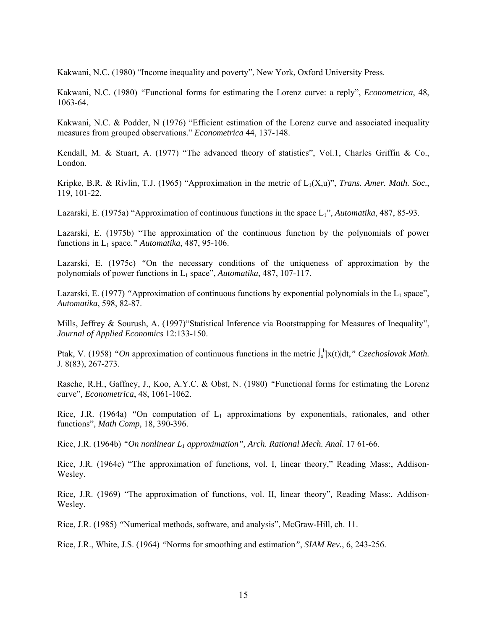Kakwani, N.C. (1980) "Income inequality and poverty", New York, Oxford University Press.

Kakwani, N.C. (1980) *"*Functional forms for estimating the Lorenz curve: a reply", *Econometrica*, 48, 1063-64.

Kakwani, N.C. & Podder, N (1976) "Efficient estimation of the Lorenz curve and associated inequality measures from grouped observations." *Econometrica* 44, 137-148.

Kendall, M. & Stuart, A. (1977) "The advanced theory of statistics", Vol.1, Charles Griffin & Co., London.

Kripke, B.R. & Rivlin, T.J. (1965) "Approximation in the metric of  $L_1(X,u)$ ", *Trans. Amer. Math. Soc.*, 119, 101-22.

Lazarski, E. (1975a) "Approximation of continuous functions in the space L<sub>1</sub>", *Automatika*, 487, 85-93.

Lazarski, E. (1975b) "The approximation of the continuous function by the polynomials of power functions in L1 space.*" Automatika*, 487, 95-106.

Lazarski, E. (1975c) *"*On the necessary conditions of the uniqueness of approximation by the polynomials of power functions in L1 space", *Automatika*, 487, 107-117.

Lazarski, E. (1977) "Approximation of continuous functions by exponential polynomials in the L<sub>1</sub> space", *Automatika*, 598, 82-87.

Mills, Jeffrey & Sourush, A. (1997) "Statistical Inference via Bootstrapping for Measures of Inequality", *Journal of Applied Economics* 12:133-150.

Ptak, V. (1958) *"On* approximation of continuous functions in the metric  $\int_a^b |x(t)| dt$ ," Czechoslovak Math. J. 8(83), 267-273.

Rasche, R.H., Gaffney, J., Koo, A.Y.C. & Obst, N. (1980) *"*Functional forms for estimating the Lorenz curve"*, Econometrica*, 48, 1061-1062.

Rice, J.R. (1964a) *"*On computation of L1 approximations by exponentials, rationales, and other functions", *Math Comp,* 18, 390-396.

Rice, J.R. (1964b) *"On nonlinear L1 approximation", Arch. Rational Mech. Anal.* 17 61-66.

Rice, J.R. (1964c) "The approximation of functions, vol. I, linear theory," Reading Mass:, Addison-Wesley.

Rice, J.R. (1969) "The approximation of functions, vol. II, linear theory"*,* Reading Mass:, Addison-Wesley.

Rice, J.R. (1985) *"*Numerical methods, software, and analysis", McGraw-Hill, ch. 11.

Rice, J.R., White, J.S. (1964) *"*Norms for smoothing and estimation*"*, *SIAM Rev.*, 6, 243-256.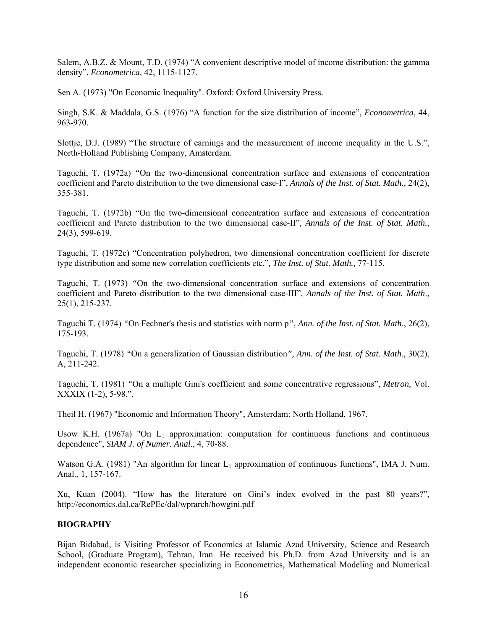Salem, A.B.Z. & Mount, T.D. (1974) "A convenient descriptive model of income distribution: the gamma density", *Econometrica,* 42, 1115-1127.

Sen A. (1973) "On Economic Inequality". Oxford: Oxford University Press.

Singh, S.K. & Maddala, G.S. (1976) "A function for the size distribution of income", *Econometrica*, 44, 963-970.

Slottje, D.J. (1989) "The structure of earnings and the measurement of income inequality in the U.S.", North-Holland Publishing Company, Amsterdam.

Taguchi, T. (1972a) *"*On the two-dimensional concentration surface and extensions of concentration coefficient and Pareto distribution to the two dimensional case-I", *Annals of the Inst. of Stat. Math.,* 24(2), 355-381.

Taguchi, T. (1972b) "On the two-dimensional concentration surface and extensions of concentration coefficient and Pareto distribution to the two dimensional case-II"*, Annals of the Inst. of Stat. Math.*, 24(3), 599-619.

Taguchi, T. (1972c) "Concentration polyhedron, two dimensional concentration coefficient for discrete type distribution and some new correlation coefficients etc."*, The Inst. of Stat. Math.,* 77-115.

Taguchi, T. (1973) *"*On the two-dimensional concentration surface and extensions of concentration coefficient and Pareto distribution to the two dimensional case-III"*, Annals of the Inst. of Stat. Math*., 25(1), 215-237.

Taguchi T. (1974) *"*On Fechner's thesis and statistics with norm p*", Ann. of the Inst. of Stat. Math*., 26(2), 175-193.

Taguchi, T. (1978) *"*On a generalization of Gaussian distribution*", Ann. of the Inst. of Stat. Math*., 30(2), A, 211-242.

Taguchi, T. (1981) *"*On a multiple Gini's coefficient and some concentrative regressions", *Metron,* Vol. XXXIX (1-2), 5-98.".

Theil H. (1967) "Economic and Information Theory", Amsterdam: North Holland, 1967.

Usow K.H. (1967a) "On  $L_1$  approximation: computation for continuous functions and continuous dependence", *SIAM J. of Numer. Anal*., 4, 70-88.

Watson G.A. (1981) "An algorithm for linear  $L_1$  approximation of continuous functions", IMA J. Num. Anal., 1, 157-167.

Xu, Kuan (2004). "How has the literature on Gini's index evolved in the past 80 years?", http://economics.dal.ca/RePEc/dal/wprarch/howgini.pdf

# **BIOGRAPHY**

Bijan Bidabad, is Visiting Professor of Economics at Islamic Azad University, Science and Research School, (Graduate Program), Tehran, Iran. He received his Ph.D. from Azad University and is an independent economic researcher specializing in Econometrics, Mathematical Modeling and Numerical